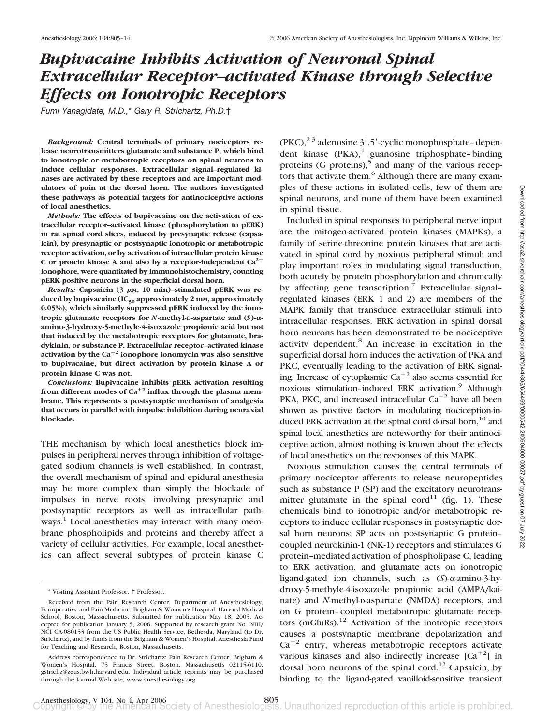# *Bupivacaine Inhibits Activation of Neuronal Spinal Extracellular Receptor–activated Kinase through Selective Effects on Ionotropic Receptors*

*Fumi Yanagidate, M.D.,*\* *Gary R. Strichartz, Ph.D.*†

*Background:* **Central terminals of primary nociceptors release neurotransmitters glutamate and substance P, which bind to ionotropic or metabotropic receptors on spinal neurons to induce cellular responses. Extracellular signal–regulated kinases are activated by these receptors and are important modulators of pain at the dorsal horn. The authors investigated these pathways as potential targets for antinociceptive actions of local anesthetics.**

*Methods:* **The effects of bupivacaine on the activation of extracellular receptor–activated kinase (phosphorylation to pERK) in rat spinal cord slices, induced by presynaptic release (capsaicin), by presynaptic or postsynaptic ionotropic or metabotropic receptor activation, or by activation of intracellular protein kinase** C or protein kinase A and also by a receptor-independent  $Ca^{2+}$ **ionophore, were quantitated by immunohistochemistry, counting pERK-positive neurons in the superficial dorsal horn.**

*Results:* Capsaicin (3 μm, 10 min)–stimulated pERK was reduced by bupivacaine (IC<sub>50</sub> approximately 2 mm, approximately **0.05%), which similarly suppressed pERK induced by the ionotropic glutamate receptors for** *N***-methyl-D-aspartate and (***S***)- amino-3-hydroxy-5-methyle-4-isoxazole propionic acid but not that induced by the metabotropic receptors for glutamate, bradykinin, or substance P. Extracellular receptor–activated kinase** activation by the  $Ca^{+2}$  ionophore ionomycin was also sensitive **to bupivacaine, but direct activation by protein kinase A or protein kinase C was not.**

*Conclusions:* **Bupivacaine inhibits pERK activation resulting** from different modes of  $Ca^{+2}$  influx through the plasma mem**brane. This represents a postsynaptic mechanism of analgesia that occurs in parallel with impulse inhibition during neuraxial blockade.**

THE mechanism by which local anesthetics block impulses in peripheral nerves through inhibition of voltagegated sodium channels is well established. In contrast, the overall mechanism of spinal and epidural anesthesia may be more complex than simply the blockade of impulses in nerve roots, involving presynaptic and postsynaptic receptors as well as intracellular pathways.<sup>1</sup> Local anesthetics may interact with many membrane phospholipids and proteins and thereby affect a variety of cellular activities. For example, local anesthetics can affect several subtypes of protein kinase C

 $(PKC),^{2,3}$  adenosine  $3', 5'$ -cyclic monophosphate–dependent kinase (PKA),<sup>4</sup> guanosine triphosphate-binding proteins  $(G \text{ proteins})$ ,<sup>5</sup> and many of the various receptors that activate them.<sup>6</sup> Although there are many examples of these actions in isolated cells, few of them are spinal neurons, and none of them have been examined in spinal tissue.

Included in spinal responses to peripheral nerve input are the mitogen-activated protein kinases (MAPKs), a family of serine-threonine protein kinases that are activated in spinal cord by noxious peripheral stimuli and play important roles in modulating signal transduction, both acutely by protein phosphorylation and chronically by affecting gene transcription.<sup>7</sup> Extracellular signalregulated kinases (ERK 1 and 2) are members of the MAPK family that transduce extracellular stimuli into intracellular responses. ERK activation in spinal dorsal horn neurons has been demonstrated to be nociceptive activity dependent.<sup>8</sup> An increase in excitation in the superficial dorsal horn induces the activation of PKA and PKC, eventually leading to the activation of ERK signaling. Increase of cytoplasmic  $Ca^{+2}$  also seems essential for noxious stimulation-induced ERK activation.<sup>9</sup> Although PKA, PKC, and increased intracellular  $Ca^{+2}$  have all been shown as positive factors in modulating nociception-induced ERK activation at the spinal cord dorsal horn,<sup>10</sup> and spinal local anesthetics are noteworthy for their antinociceptive action, almost nothing is known about the effects of local anesthetics on the responses of this MAPK.

Noxious stimulation causes the central terminals of primary nociceptor afferents to release neuropeptides such as substance P (SP) and the excitatory neurotransmitter glutamate in the spinal cord<sup>11</sup> (fig. 1). These chemicals bind to ionotropic and/or metabotropic receptors to induce cellular responses in postsynaptic dorsal horn neurons; SP acts on postsynaptic G protein– coupled neurokinin-1 (NK-1) receptors and stimulates G protein–mediated activation of phospholipase C, leading to ERK activation, and glutamate acts on ionotropic ligand-gated ion channels, such as (S)- $\alpha$ -amino-3-hydroxy-5-methyle-4-isoxazole propionic acid (AMPA/kainate) and *N*-methyl-D-aspartate (NMDA) receptors, and on G protein–coupled metabotropic glutamate receptors (mGluRs). $12$  Activation of the inotropic receptors causes a postsynaptic membrane depolarization and  $Ca^{+2}$  entry, whereas metabotropic receptors activate various kinases and also indirectly increase  $[Ca^{+2}]$  in dorsal horn neurons of the spinal cord.<sup>12</sup> Capsaicin, by binding to the ligand-gated vanilloid-sensitive transient

<sup>\*</sup> Visiting Assistant Professor, † Professor.

Received from the Pain Research Center, Department of Anesthesiology, Perioperative and Pain Medicine, Brigham & Women's Hospital, Harvard Medical School, Boston, Massachusetts. Submitted for publication May 18, 2005. Accepted for publication January 5, 2006. Supported by research grant No. NIH/ NCI CA-080153 from the US Public Health Service, Bethesda, Maryland (to Dr. Strichartz), and by funds from the Brigham & Women's Hospital, Anesthesia Fund for Teaching and Research, Boston, Massachusetts.

Address correspondence to Dr. Strichartz: Pain Research Center, Brigham & Women's Hospital, 75 Francis Street, Boston, Massachusetts 02115-6110. gstrichz@zeus.bwh.harvard.edu. Individual article reprints may be purchased through the Journal Web site, www.anesthesiology.org.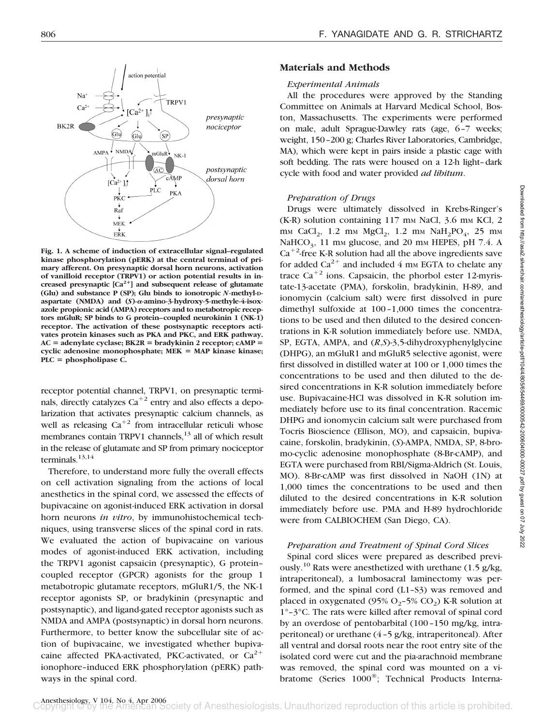

**Fig. 1. A scheme of induction of extracellular signal–regulated kinase phosphorylation (pERK) at the central terminal of primary afferent. On presynaptic dorsal horn neurons, activation of vanilloid receptor (TRPV1) or action potential results in increased presynaptic [Ca2] and subsequent release of glutamate (Glu) and substance P (SP); Glu binds to ionotropic** *N***-methyl-Daspartate (NMDA) and (***S***)--amino-3-hydroxy-5-methyle-4-isoxazole propionic acid (AMPA) receptors and to metabotropic receptors mGluR; SP binds to G protein–coupled neurokinin 1 (NK-1) receptor. The activation of these postsynaptic receptors activates protein kinases such as PKA and PKC, and ERK pathway.**  $AC =$ **adenylate cyclase;**  $BK2R =$ **bradykinin 2 receptor; cAMP** cyclic adenosine monophosphate; MEK = MAP kinase kinase; **PLC phospholipase C.**

receptor potential channel, TRPV1, on presynaptic terminals, directly catalyzes  $Ca^{+2}$  entry and also effects a depolarization that activates presynaptic calcium channels, as well as releasing  $Ca^{+2}$  from intracellular reticuli whose membranes contain TRPV1 channels, $13$  all of which result in the release of glutamate and SP from primary nociceptor terminals. $13,14$ 

Therefore, to understand more fully the overall effects on cell activation signaling from the actions of local anesthetics in the spinal cord, we assessed the effects of bupivacaine on agonist-induced ERK activation in dorsal horn neurons *in vitro*, by immunohistochemical techniques, using transverse slices of the spinal cord in rats. We evaluated the action of bupivacaine on various modes of agonist-induced ERK activation, including the TRPV1 agonist capsaicin (presynaptic), G protein– coupled receptor (GPCR) agonists for the group 1 metabotropic glutamate receptors, mGluR1/5, the NK-1 receptor agonists SP, or bradykinin (presynaptic and postsynaptic), and ligand-gated receptor agonists such as NMDA and AMPA (postsynaptic) in dorsal horn neurons. Furthermore, to better know the subcellular site of action of bupivacaine, we investigated whether bupivacaine affected PKA-activated, PKC-activated, or  $Ca^{2+}$ ionophore–induced ERK phosphorylation (pERK) pathways in the spinal cord.

#### **Materials and Methods**

#### *Experimental Animals*

All the procedures were approved by the Standing Committee on Animals at Harvard Medical School, Boston, Massachusetts. The experiments were performed on male, adult Sprague-Dawley rats (age, 6–7 weeks; weight, 150–200 g; Charles River Laboratories, Cambridge, MA), which were kept in pairs inside a plastic cage with soft bedding. The rats were housed on a 12-h light–dark cycle with food and water provided *ad libitum*.

#### *Preparation of Drugs*

Drugs were ultimately dissolved in Krebs-Ringer's  $(K-R)$  solution containing 117 mm NaCl, 3.6 mm KCl, 2 mm CaCl<sub>2</sub>, 1.2 mm  $MgCl_2$ , 1.2 mm  $NaH_2PO_4$ , 25 mm NaHCO<sub>3</sub>, 11 mm glucose, and 20 mm HEPES, pH 7.4. A  $Ca<sup>+2</sup>$ -free K-R solution had all the above ingredients save for added  $Ca^{2+}$  and included 4 mm EGTA to chelate any trace  $Ca^{+2}$  ions. Capsaicin, the phorbol ester 12-myristate-13-acetate (PMA), forskolin, bradykinin, H-89, and ionomycin (calcium salt) were first dissolved in pure dimethyl sulfoxide at 100–1,000 times the concentrations to be used and then diluted to the desired concentrations in K-R solution immediately before use. NMDA, SP, EGTA, AMPA, and (*R*,*S*)-3,5-dihydroxyphenylglycine (DHPG), an mGluR1 and mGluR5 selective agonist, were first dissolved in distilled water at 100 or 1,000 times the concentrations to be used and then diluted to the desired concentrations in K-R solution immediately before use. Bupivacaine-HCl was dissolved in K-R solution immediately before use to its final concentration. Racemic DHPG and ionomycin calcium salt were purchased from Tocris Bioscience (Ellison, MO), and capsaicin, bupivacaine, forskolin, bradykinin, (*S*)-AMPA, NMDA, SP, 8-bromo-cyclic adenosine monophosphate (8-Br-cAMP), and EGTA were purchased from RBI/Sigma-Aldrich (St. Louis, MO). 8-Br-cAMP was first dissolved in NaOH (1N) at 1,000 times the concentrations to be used and then diluted to the desired concentrations in K-R solution immediately before use. PMA and H-89 hydrochloride were from CALBIOCHEM (San Diego, CA).

#### *Preparation and Treatment of Spinal Cord Slices*

Spinal cord slices were prepared as described previously.<sup>10</sup> Rats were anesthetized with urethane  $(1.5 \text{ g/kg})$ , intraperitoneal), a lumbosacral laminectomy was performed, and the spinal cord (L1–S3) was removed and placed in oxygenated (95%  $O_2$ –5%  $CO_2$ ) K-R solution at 1°–3°C. The rats were killed after removal of spinal cord by an overdose of pentobarbital (100–150 mg/kg, intraperitoneal) or urethane (4–5 g/kg, intraperitoneal). After all ventral and dorsal roots near the root entry site of the isolated cord were cut and the pia-arachnoid membrane was removed, the spinal cord was mounted on a vibratome (Series 1000®; Technical Products Interna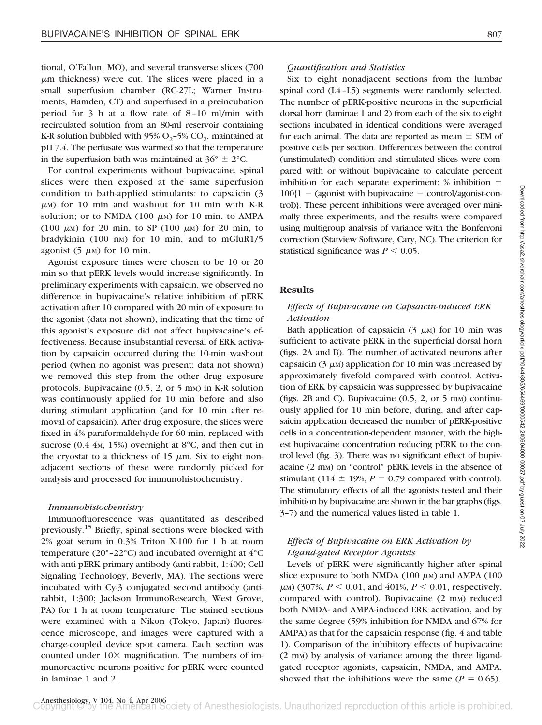tional, O'Fallon, MO), and several transverse slices (700  $\mu$ m thickness) were cut. The slices were placed in a small superfusion chamber (RC-27L; Warner Instruments, Hamden, CT) and superfused in a preincubation period for 3 h at a flow rate of 8–10 ml/min with recirculated solution from an 80-ml reservoir containing K-R solution bubbled with 95%  $O_2$ -5%  $CO_2$ , maintained at pH 7.4. The perfusate was warmed so that the temperature in the superfusion bath was maintained at  $36^{\circ} \pm 2^{\circ}$ C.

For control experiments without bupivacaine, spinal slices were then exposed at the same superfusion condition to bath-applied stimulants: to capsaicin (3 -M) for 10 min and washout for 10 min with K-R solution; or to NMDA  $(100 \mu)$  for 10 min, to AMPA (100  $\mu$ M) for 20 min, to SP (100  $\mu$ M) for 20 min, to bradykinin  $(100 \text{ nm})$  for 10 min, and to mGluR1/5 agonist  $(5 \mu M)$  for 10 min.

Agonist exposure times were chosen to be 10 or 20 min so that pERK levels would increase significantly. In preliminary experiments with capsaicin, we observed no difference in bupivacaine's relative inhibition of pERK activation after 10 compared with 20 min of exposure to the agonist (data not shown), indicating that the time of this agonist's exposure did not affect bupivacaine's effectiveness. Because insubstantial reversal of ERK activation by capsaicin occurred during the 10-min washout period (when no agonist was present; data not shown) we removed this step from the other drug exposure protocols. Bupivacaine  $(0.5, 2, \text{or } 5 \text{ mm})$  in K-R solution was continuously applied for 10 min before and also during stimulant application (and for 10 min after removal of capsaicin). After drug exposure, the slices were fixed in 4% paraformaldehyde for 60 min, replaced with sucrose  $(0.4 \, 4M, 15\%)$  overnight at 8°C, and then cut in the cryostat to a thickness of 15  $\mu$ m. Six to eight nonadjacent sections of these were randomly picked for analysis and processed for immunohistochemistry.

#### *Immunohistochemistry*

Immunofluorescence was quantitated as described previously.15 Briefly, spinal sections were blocked with 2% goat serum in 0.3% Triton X-100 for 1 h at room temperature (20°–22°C) and incubated overnight at 4°C with anti-pERK primary antibody (anti-rabbit, 1:400; Cell Signaling Technology, Beverly, MA). The sections were incubated with Cy-3 conjugated second antibody (antirabbit, 1:300; Jackson ImmunoResearch, West Grove, PA) for 1 h at room temperature. The stained sections were examined with a Nikon (Tokyo, Japan) fluorescence microscope, and images were captured with a charge-coupled device spot camera. Each section was counted under  $10\times$  magnification. The numbers of immunoreactive neurons positive for pERK were counted in laminae 1 and 2.

## *Quantification and Statistics*

Six to eight nonadjacent sections from the lumbar spinal cord (L4–L5) segments were randomly selected. The number of pERK-positive neurons in the superficial dorsal horn (laminae 1 and 2) from each of the six to eight sections incubated in identical conditions were averaged for each animal. The data are reported as mean  $\pm$  SEM of positive cells per section. Differences between the control (unstimulated) condition and stimulated slices were compared with or without bupivacaine to calculate percent inhibition for each separate experiment: % inhibition  $100{1 - (a}$ gonist with bupivacaine  $-$  control/agonist-control)}. These percent inhibitions were averaged over minimally three experiments, and the results were compared using multigroup analysis of variance with the Bonferroni correction (Statview Software, Cary, NC). The criterion for statistical significance was  $P \leq 0.05$ .

#### **Results**

## *Effects of Bupivacaine on Capsaicin-induced ERK Activation*

Bath application of capsaicin  $(3 \mu)$  for 10 min was sufficient to activate pERK in the superficial dorsal horn (figs. 2A and B). The number of activated neurons after capsaicin ( $3 \mu$ M) application for 10 min was increased by approximately fivefold compared with control. Activation of ERK by capsaicin was suppressed by bupivacaine (figs. 2B and C). Bupivacaine  $(0.5, 2, \text{or } 5 \text{ mm})$  continuously applied for 10 min before, during, and after capsaicin application decreased the number of pERK-positive cells in a concentration-dependent manner, with the highest bupivacaine concentration reducing pERK to the control level (fig. 3). There was no significant effect of bupivacaine (2 mm) on "control" pERK levels in the absence of stimulant (114  $\pm$  19%, *P* = 0.79 compared with control). The stimulatory effects of all the agonists tested and their inhibition by bupivacaine are shown in the bar graphs (figs. 3–7) and the numerical values listed in table 1.

## *Effects of Bupivacaine on ERK Activation by Ligand-gated Receptor Agonists*

Levels of pERK were significantly higher after spinal slice exposure to both NMDA  $(100 \mu)$  and AMPA  $(100 \mu)$  $\mu$ <sub>M</sub>) (307%,  $P < 0.01$ , and 401%,  $P < 0.01$ , respectively, compared with control). Bupivacaine (2 mm) reduced both NMDA- and AMPA-induced ERK activation, and by the same degree (59% inhibition for NMDA and 67% for AMPA) as that for the capsaicin response (fig. 4 and table 1). Comparison of the inhibitory effects of bupivacaine (2 mM) by analysis of variance among the three ligandgated receptor agonists, capsaicin, NMDA, and AMPA, showed that the inhibitions were the same  $(P = 0.65)$ .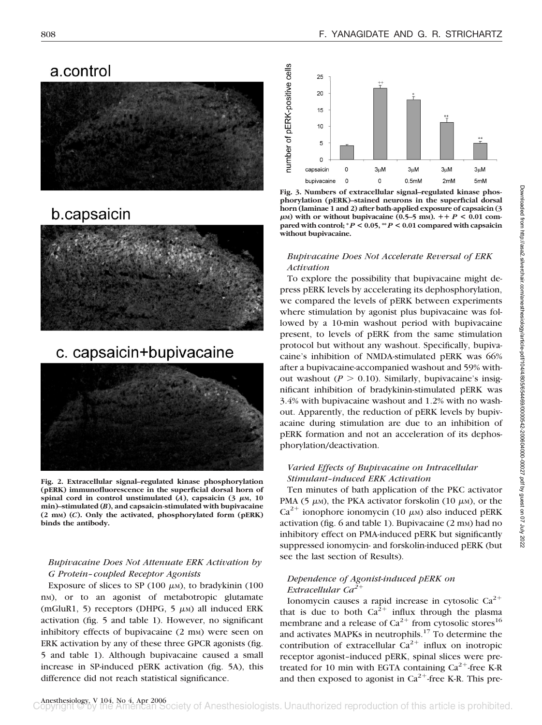## a.control



## b.capsaicin



# c. capsaicin+bupivacaine



**Fig. 2. Extracellular signal–regulated kinase phosphorylation (pERK) immunofluorescence in the superficial dorsal horn of** spinal cord in control unstimulated  $(A)$ , capsaicin  $(3 \mu M, 10 \mu M)$ **min)–stimulated (***B***), and capsaicin-stimulated with bupivacaine (2 mM) (***C***). Only the activated, phosphorylated form (pERK) binds the antibody.**

## *Bupivacaine Does Not Attenuate ERK Activation by G Protein– coupled Receptor Agonists*

Exposure of slices to SP  $(100 \mu)$ , to bradykinin  $(100 \mu)$ nM), or to an agonist of metabotropic glutamate (mGluR1, 5) receptors (DHPG, 5  $\mu$ M) all induced ERK activation (fig. 5 and table 1). However, no significant inhibitory effects of bupivacaine (2 mm) were seen on ERK activation by any of these three GPCR agonists (fig. 5 and table 1). Although bupivacaine caused a small increase in SP-induced pERK activation (fig. 5A), this difference did not reach statistical significance.



**Fig. 3. Numbers of extracellular signal–regulated kinase phosphorylation (pERK)–stained neurons in the superficial dorsal horn (laminae 1 and 2) after bath-applied exposure of capsaicin (3**  $\mu$ M) with or without bupivacaine (0.5–5 mM).  $+P < 0.01$  com**pared with control; \*** *P* **< 0.05, \*\*** *P* **< 0.01 compared with capsaicin without bupivacaine.**

#### *Bupivacaine Does Not Accelerate Reversal of ERK Activation*

To explore the possibility that bupivacaine might depress pERK levels by accelerating its dephosphorylation, we compared the levels of pERK between experiments where stimulation by agonist plus bupivacaine was followed by a 10-min washout period with bupivacaine present, to levels of pERK from the same stimulation protocol but without any washout. Specifically, bupivacaine's inhibition of NMDA-stimulated pERK was 66% after a bupivacaine-accompanied washout and 59% without washout ( $P > 0.10$ ). Similarly, bupivacaine's insignificant inhibition of bradykinin-stimulated pERK was 3.4% with bupivacaine washout and 1.2% with no washout. Apparently, the reduction of pERK levels by bupivacaine during stimulation are due to an inhibition of pERK formation and not an acceleration of its dephosphorylation/deactivation.

## *Varied Effects of Bupivacaine on Intracellular Stimulant–induced ERK Activation*

Ten minutes of bath application of the PKC activator PMA (5  $\mu$ M), the PKA activator forskolin (10  $\mu$ M), or the Ca<sup>2+</sup> ionophore ionomycin (10  $\mu$ M) also induced pERK activation (fig.  $6$  and table 1). Bupivacaine ( $2 \text{ mm}$ ) had no inhibitory effect on PMA-induced pERK but significantly suppressed ionomycin- and forskolin-induced pERK (but see the last section of Results).

#### *Dependence of Agonist-induced pERK on Extracellular Ca2*

Ionomycin causes a rapid increase in cytosolic  $Ca^{2+}$ that is due to both  $Ca^{2+}$  influx through the plasma membrane and a release of  $Ca^{2+}$  from cytosolic stores<sup>16</sup> and activates MAPKs in neutrophils.<sup>17</sup> To determine the contribution of extracellular  $Ca^{2+}$  influx on inotropic receptor agonist–induced pERK, spinal slices were pretreated for 10 min with EGTA containing  $Ca^{2+}$ -free K-R and then exposed to agonist in  $Ca^{2+}$ -free K-R. This pre-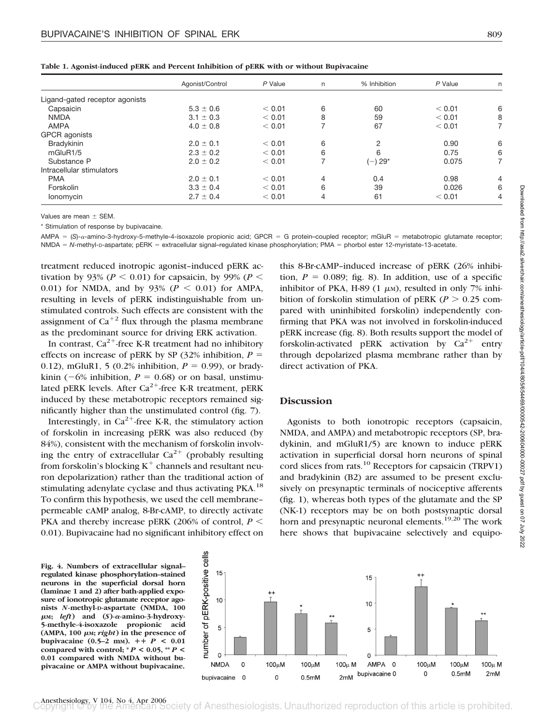|  |  | Table 1. Agonist-induced pERK and Percent Inhibition of pERK with or without Bupivacaine |
|--|--|------------------------------------------------------------------------------------------|
|  |  |                                                                                          |

|                                | Agonist/Control | P Value | n. | % Inhibition | P Value | n |
|--------------------------------|-----------------|---------|----|--------------|---------|---|
| Ligand-gated receptor agonists |                 |         |    |              |         |   |
| Capsaicin                      | $5.3 \pm 0.6$   | < 0.01  | 6  | 60           | < 0.01  | 6 |
| <b>NMDA</b>                    | $3.1 \pm 0.3$   | < 0.01  | 8  | 59           | < 0.01  | 8 |
| <b>AMPA</b>                    | $4.0 \pm 0.8$   | < 0.01  |    | 67           | < 0.01  |   |
| GPCR agonists                  |                 |         |    |              |         |   |
| Bradykinin                     | $2.0 \pm 0.1$   | < 0.01  | 6  | 2            | 0.90    | 6 |
| mGluR1/5                       | $2.3 \pm 0.2$   | < 0.01  | 6  | 6            | 0.75    | 6 |
| Substance P                    | $2.0 \pm 0.2$   | < 0.01  |    | ( –) 29*     | 0.075   |   |
| Intracellular stimulators      |                 |         |    |              |         |   |
| <b>PMA</b>                     | $2.0 \pm 0.1$   | < 0.01  | 4  | 0.4          | 0.98    | 4 |
| Forskolin                      | $3.3 \pm 0.4$   | < 0.01  | 6  | 39           | 0.026   | 6 |
| lonomycin                      | $2.7 \pm 0.4$   | < 0.01  | 4  | 61           | < 0.01  | 4 |

Values are mean  $\pm$  SEM.

\* Stimulation of response by bupivacaine.

AMPA = (S)-a-amino-3-hydroxy-5-methyle-4-isoxazole propionic acid; GPCR = G protein-coupled receptor; mGluR = metabotropic glutamate receptor; NMDA = N-methyl-D-aspartate; pERK = extracellular signal–regulated kinase phosphorylation; PMA = phorbol ester 12-myristate-13-acetate.

treatment reduced inotropic agonist–induced pERK activation by 93% ( $P < 0.01$ ) for capsaicin, by 99% ( $P <$ 0.01) for NMDA, and by  $93\%$  ( $P < 0.01$ ) for AMPA, resulting in levels of pERK indistinguishable from unstimulated controls. Such effects are consistent with the assignment of  $Ca^{+2}$  flux through the plasma membrane as the predominant source for driving ERK activation.

In contrast,  $Ca^{2+}$ -free K-R treatment had no inhibitory effects on increase of pERK by SP  $(32\%$  inhibition,  $P =$ 0.12), mGluR1, 5 (0.2% inhibition,  $P = 0.99$ ), or bradykinin ( $-6\%$  inhibition,  $P = 0.68$ ) or on basal, unstimulated pERK levels. After  $Ca^{2+}$ -free K-R treatment, pERK induced by these metabotropic receptors remained significantly higher than the unstimulated control (fig. 7).

Interestingly, in  $Ca^{2+}$ -free K-R, the stimulatory action of forskolin in increasing pERK was also reduced (by 84%), consistent with the mechanism of forskolin involving the entry of extracellular  $Ca^{2+}$  (probably resulting from forskolin's blocking  $K^+$  channels and resultant neuron depolarization) rather than the traditional action of stimulating adenylate cyclase and thus activating PKA.<sup>18</sup> To confirm this hypothesis, we used the cell membrane– permeable cAMP analog, 8-Br-cAMP, to directly activate PKA and thereby increase pERK (206% of control,  $P \leq$ 0.01). Bupivacaine had no significant inhibitory effect on

this 8-Br-cAMP–induced increase of pERK (26% inhibition,  $P = 0.089$ ; fig. 8). In addition, use of a specific inhibitor of PKA, H-89  $(1 \mu)$ , resulted in only 7% inhibition of forskolin stimulation of pERK ( $P > 0.25$  compared with uninhibited forskolin) independently confirming that PKA was not involved in forskolin-induced pERK increase (fig. 8). Both results support the model of forskolin-activated pERK activation by  $Ca^{2+}$  entry through depolarized plasma membrane rather than by direct activation of PKA.

## **Discussion**

Agonists to both ionotropic receptors (capsaicin, NMDA, and AMPA) and metabotropic receptors (SP, bradykinin, and mGluR1/5) are known to induce pERK activation in superficial dorsal horn neurons of spinal cord slices from rats.10 Receptors for capsaicin (TRPV1) and bradykinin (B2) are assumed to be present exclusively on presynaptic terminals of nociceptive afferents (fig. 1), whereas both types of the glutamate and the SP (NK-1) receptors may be on both postsynaptic dorsal horn and presynaptic neuronal elements.<sup>19,20</sup> The work here shows that bupivacaine selectively and equipo-

**Fig. 4. Numbers of extracellular signal– regulated kinase phosphorylation–stained neurons in the superficial dorsal horn (laminae 1 and 2) after bath-applied exposure of ionotropic glutamate receptor agonists** *N***-methyl-D-aspartate (NMDA, 100** μ<sub>M</sub>; *left*) and (*S*)-α-amino-3-hydroxy-**5-methyle-4-isoxazole propionic acid**  $(AMPA, 100 \mu M; right)$  in the presence of **bupivacaine** (0.5–2 mm).  $+ + P < 0.01$ compared with control;  $^*P$  < 0.05,  $^*P$  < **0.01 compared with NMDA without bupivacaine or AMPA without bupivacaine.**

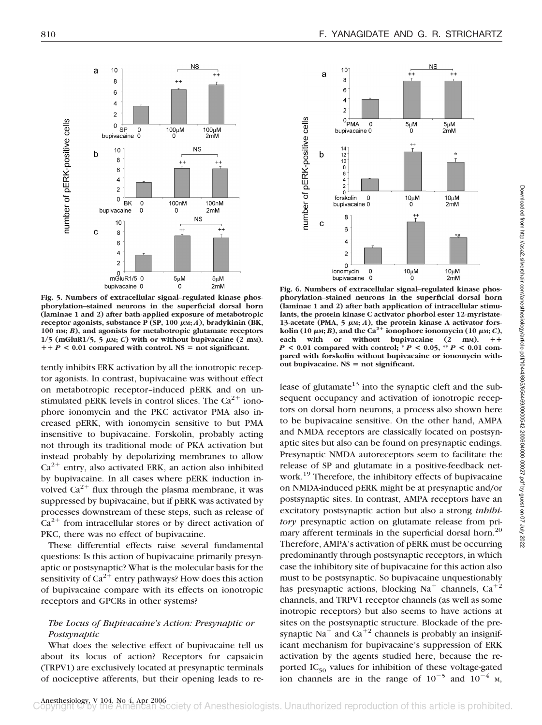$++$ 

 $5\mu M$ 

 $10\mu M$ 

 $10\mu$ M

 $10<sup>1</sup>$ 

8

6

 $\overline{4}$ 

 $\overline{2}$ 

14

 $12$ 

 $10$  $\overline{8}$ 

 $\begin{array}{c} 6 \\ 4 \end{array}$ 

 $\overline{2}$ 

8

6

 $\overline{4}$ 

 $\overline{2}$ 

 $\mathbf 0$ ionomycin

 $\circ$ 

forskolin 0<br>bupivacaine 0

 $0 + \overline{PMA}$ 

bupivacaine 0

 $\Omega$ 

a

 $\mathbf b$ 

 $\mathbf c$ 

number of pERK-positive cells

**NS** 

 $+4$ 

 $5<sub>U</sub>M$ 

 $2mM$ 

10μM<br>2mM

 $10\mu$ M



**Fig. 5. Numbers of extracellular signal–regulated kinase phosphorylation–stained neurons in the superficial dorsal horn (laminae 1 and 2) after bath-applied exposure of metabotropic** receptor agonists, substance Ρ (SP, 100 μm; *A*), bradykinin (BK, **100 nM;** *B***), and agonists for metabotropic glutamate receptors**  $1/5$  (mGluR $1/5$ , 5  $\mu$ m; *C*) with or without bupivacaine (2 mm).  $P + P$  < 0.01 compared with control. NS = not significant.

tently inhibits ERK activation by all the ionotropic receptor agonists. In contrast, bupivacaine was without effect on metabotropic receptor–induced pERK and on unstimulated pERK levels in control slices. The  $Ca^{2+}$  ionophore ionomycin and the PKC activator PMA also increased pERK, with ionomycin sensitive to but PMA insensitive to bupivacaine. Forskolin, probably acting not through its traditional mode of PKA activation but instead probably by depolarizing membranes to allow  $Ca<sup>2+</sup>$  entry, also activated ERK, an action also inhibited by bupivacaine. In all cases where pERK induction involved  $Ca^{2+}$  flux through the plasma membrane, it was suppressed by bupivacaine, but if pERK was activated by processes downstream of these steps, such as release of  $Ca<sup>2+</sup>$  from intracellular stores or by direct activation of PKC, there was no effect of bupivacaine.

These differential effects raise several fundamental questions: Is this action of bupivacaine primarily presynaptic or postsynaptic? What is the molecular basis for the sensitivity of  $Ca^{2+}$  entry pathways? How does this action of bupivacaine compare with its effects on ionotropic receptors and GPCRs in other systems?

#### *The Locus of Bupivacaine's Action: Presynaptic or Postsynaptic*

What does the selective effect of bupivacaine tell us about its locus of action? Receptors for capsaicin (TRPV1) are exclusively located at presynaptic terminals of nociceptive afferents, but their opening leads to re-



lease of glutamate $13$  into the synaptic cleft and the subsequent occupancy and activation of ionotropic receptors on dorsal horn neurons, a process also shown here to be bupivacaine sensitive. On the other hand, AMPA and NMDA receptors are classically located on postsynaptic sites but also can be found on presynaptic endings. Presynaptic NMDA autoreceptors seem to facilitate the release of SP and glutamate in a positive-feedback network.<sup>19</sup> Therefore, the inhibitory effects of bupivacaine on NMDA-induced pERK might be at presynaptic and/or postsynaptic sites. In contrast, AMPA receptors have an excitatory postsynaptic action but also a strong *inhibitory* presynaptic action on glutamate release from primary afferent terminals in the superficial dorsal horn.<sup>20</sup> Therefore, AMPA's activation of pERK must be occurring predominantly through postsynaptic receptors, in which case the inhibitory site of bupivacaine for this action also must to be postsynaptic. So bupivacaine unquestionably has presynaptic actions, blocking  $Na<sup>+</sup>$  channels,  $Ca<sup>+2</sup>$ channels, and TRPV1 receptor channels (as well as some inotropic receptors) but also seems to have actions at sites on the postsynaptic structure. Blockade of the presynaptic Na<sup>+</sup> and Ca<sup>+2</sup> channels is probably an insignificant mechanism for bupivacaine's suppression of ERK activation by the agents studied here, because the reported  $IC_{50}$  values for inhibition of these voltage-gated ion channels are in the range of  $10^{-5}$  and  $10^{-4}$  M,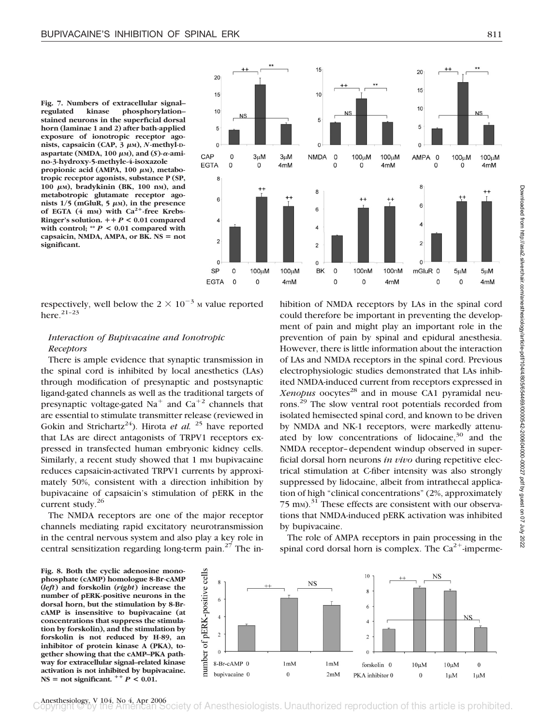**Fig. 7. Numbers of extracellular signal–** phosphorylation**stained neurons in the superficial dorsal horn (laminae 1 and 2) after bath-applied exposure of ionotropic receptor agonists, capsaicin (CAP, 3 μm), N-methyl-**D $a$  aspartate (NMDA, 100  $\mu$ м), and (*S*)- $\alpha$ -ami**no-3-hydroxy-5-methyle-4-isoxazole propionic acid (AMPA, 100 μm), metabotropic receptor agonists, substance P (SP,** 100  $\mu$ м), bradykinin (ВК, 100 nм), and **metabotropic glutamate receptor ago** $n$  ists  $1/5$  (mGluR,  $5 \mu$ <sub>M</sub>), in the presence of EGTA (4 mm) with Ca<sup>2+</sup>-free Krebs-**Ringer's solution.**  $+P < 0.01$  compared **with control; \*\*** *P* **< 0.01 compared with** capsaicin, NMDA, AMPA, or BK. NS = not **significant.**



respectively, well below the  $2 \times 10^{-3}$  M value reported here. $21-23$ 

## *Interaction of Bupivacaine and Ionotropic Receptors*

There is ample evidence that synaptic transmission in the spinal cord is inhibited by local anesthetics (LAs) through modification of presynaptic and postsynaptic ligand-gated channels as well as the traditional targets of presynaptic voltage-gated  $Na<sup>+</sup>$  and  $Ca<sup>+2</sup>$  channels that are essential to stimulate transmitter release (reviewed in Gokin and Strichartz<sup>24</sup>). Hirota *et al.* <sup>25</sup> have reported that LAs are direct antagonists of TRPV1 receptors expressed in transfected human embryonic kidney cells. Similarly, a recent study showed that 1 mm bupivacaine reduces capsaicin-activated TRPV1 currents by approximately 50%, consistent with a direction inhibition by bupivacaine of capsaicin's stimulation of pERK in the current study.<sup>26</sup>

The NMDA receptors are one of the major receptor channels mediating rapid excitatory neurotransmission in the central nervous system and also play a key role in central sensitization regarding long-term pain.27 The in-

hibition of NMDA receptors by LAs in the spinal cord could therefore be important in preventing the development of pain and might play an important role in the prevention of pain by spinal and epidural anesthesia. However, there is little information about the interaction of LAs and NMDA receptors in the spinal cord. Previous electrophysiologic studies demonstrated that LAs inhibited NMDA-induced current from receptors expressed in Xenopus oocytes<sup>28</sup> and in mouse CA1 pyramidal neurons.29 The slow ventral root potentials recorded from isolated hemisected spinal cord, and known to be driven by NMDA and NK-1 receptors, were markedly attenuated by low concentrations of lidocaine, $30$  and the NMDA receptor–dependent windup observed in superficial dorsal horn neurons *in vivo* during repetitive electrical stimulation at C-fiber intensity was also strongly suppressed by lidocaine, albeit from intrathecal application of high "clinical concentrations" (2%, approximately 75 m<sub>M</sub>).<sup>31</sup> These effects are consistent with our observations that NMDA-induced pERK activation was inhibited by bupivacaine.

The role of AMPA receptors in pain processing in the spinal cord dorsal horn is complex. The  $Ca^{2+}$ -imperme-

**Fig. 8. Both the cyclic adenosine monophosphate (cAMP) homologue 8-Br-cAMP (***left***) and forskolin (***right***) increase the number of pERK-positive neurons in the dorsal horn, but the stimulation by 8-BrcAMP is insensitive to bupivacaine (at concentrations that suppress the stimulation by forskolin), and the stimulation by forskolin is not reduced by H-89, an inhibitor of protein kinase A (PKA), together showing that the cAMP–PKA pathway for extracellular signal–related kinase activation is not inhibited by bupivacaine.**  $NS = not significant.$   $P^+P < 0.01$ .



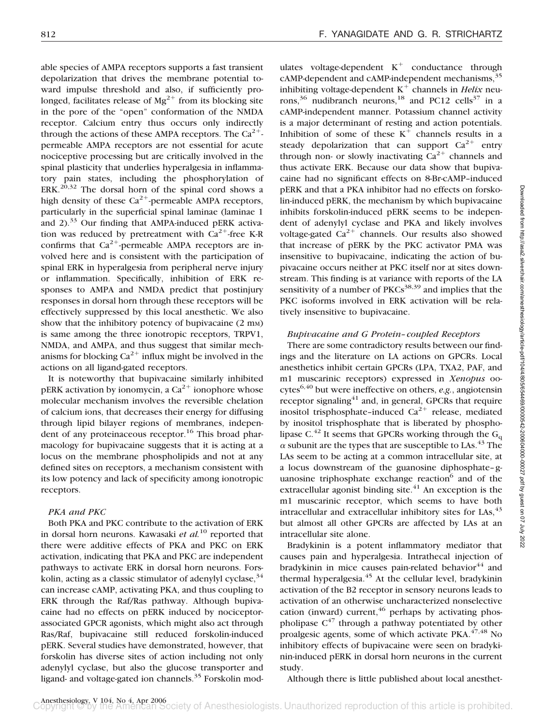able species of AMPA receptors supports a fast transient depolarization that drives the membrane potential toward impulse threshold and also, if sufficiently prolonged, facilitates release of  $Mg^{2+}$  from its blocking site in the pore of the "open" conformation of the NMDA receptor. Calcium entry thus occurs only indirectly through the actions of these AMPA receptors. The  $Ca^{2+}$ permeable AMPA receptors are not essential for acute nociceptive processing but are critically involved in the spinal plasticity that underlies hyperalgesia in inflammatory pain states, including the phosphorylation of  $ERK<sup>20,32</sup>$  The dorsal horn of the spinal cord shows a high density of these  $Ca^{2+}$ -permeable AMPA receptors, particularly in the superficial spinal laminae (laminae 1 and  $2$ ).<sup>33</sup> Our finding that AMPA-induced pERK activation was reduced by pretreatment with  $Ca^{2+}$ -free K-R confirms that  $Ca^{2+}$ -permeable AMPA receptors are involved here and is consistent with the participation of spinal ERK in hyperalgesia from peripheral nerve injury or inflammation. Specifically, inhibition of ERK responses to AMPA and NMDA predict that postinjury responses in dorsal horn through these receptors will be effectively suppressed by this local anesthetic. We also show that the inhibitory potency of bupivacaine (2 mm) is same among the three ionotropic receptors, TRPV1, NMDA, and AMPA, and thus suggest that similar mechanisms for blocking  $Ca^{2+}$  influx might be involved in the actions on all ligand-gated receptors.

It is noteworthy that bupivacaine similarly inhibited pERK activation by ionomycin, a  $Ca^{2+}$  ionophore whose molecular mechanism involves the reversible chelation of calcium ions, that decreases their energy for diffusing through lipid bilayer regions of membranes, independent of any proteinaceous receptor.<sup>16</sup> This broad pharmacology for bupivacaine suggests that it is acting at a locus on the membrane phospholipids and not at any defined sites on receptors, a mechanism consistent with its low potency and lack of specificity among ionotropic receptors.

## *PKA and PKC*

Both PKA and PKC contribute to the activation of ERK in dorsal horn neurons. Kawasaki *et al.*<sup>10</sup> reported that there were additive effects of PKA and PKC on ERK activation, indicating that PKA and PKC are independent pathways to activate ERK in dorsal horn neurons. Forskolin, acting as a classic stimulator of adenylyl cyclase,  $34$ can increase cAMP, activating PKA, and thus coupling to ERK through the Raf/Ras pathway. Although bupivacaine had no effects on pERK induced by nociceptorassociated GPCR agonists, which might also act through Ras/Raf, bupivacaine still reduced forskolin-induced pERK. Several studies have demonstrated, however, that forskolin has diverse sites of action including not only adenylyl cyclase, but also the glucose transporter and ligand- and voltage-gated ion channels.<sup>35</sup> Forskolin modulates voltage-dependent  $K^+$  conductance through cAMP-dependent and cAMP-independent mechanisms,<sup>35</sup> inhibiting voltage-dependent  $K^+$  channels in *Helix* neurons,<sup>36</sup> nudibranch neurons,<sup>18</sup> and PC12 cells<sup>37</sup> in a cAMP-independent manner. Potassium channel activity is a major determinant of resting and action potentials. Inhibition of some of these  $K^+$  channels results in a steady depolarization that can support  $Ca^{2+}$  entry through non- or slowly inactivating  $Ca^{2+}$  channels and thus activate ERK. Because our data show that bupivacaine had no significant effects on 8-Br-cAMP–induced pERK and that a PKA inhibitor had no effects on forskolin-induced pERK, the mechanism by which bupivacaine inhibits forskolin-induced pERK seems to be independent of adenylyl cyclase and PKA and likely involves voltage-gated  $Ca^{2+}$  channels. Our results also showed that increase of pERK by the PKC activator PMA was insensitive to bupivacaine, indicating the action of bupivacaine occurs neither at PKC itself nor at sites downstream. This finding is at variance with reports of the LA sensitivity of a number of  $PKCs^{38,39}$  and implies that the PKC isoforms involved in ERK activation will be relatively insensitive to bupivacaine.

## *Bupivacaine and G Protein– coupled Receptors*

There are some contradictory results between our findings and the literature on LA actions on GPCRs. Local anesthetics inhibit certain GPCRs (LPA, TXA2, PAF, and m1 muscarinic receptors) expressed in *Xenopus* oocytes6,40 but were ineffective on others, *e.g.*, angiotensin receptor signaling $41$  and, in general, GPCRs that require inositol trisphosphate–induced  $Ca^{2+}$  release, mediated by inositol trisphosphate that is liberated by phospholipase C.<sup>42</sup> It seems that GPCRs working through the G<sub>q</sub>  $\alpha$  subunit are the types that are susceptible to LAs.<sup>43</sup> The LAs seem to be acting at a common intracellular site, at a locus downstream of the guanosine diphosphate–guanosine triphosphate exchange reaction $6$  and of the extracellular agonist binding site. $41$  An exception is the m1 muscarinic receptor, which seems to have both intracellular and extracellular inhibitory sites for  $\text{LAs}^{43}$ but almost all other GPCRs are affected by LAs at an intracellular site alone.

Bradykinin is a potent inflammatory mediator that causes pain and hyperalgesia. Intrathecal injection of bradykinin in mice causes pain-related behavior $44$  and thermal hyperalgesia.<sup>45</sup> At the cellular level, bradykinin activation of the B2 receptor in sensory neurons leads to activation of an otherwise uncharacterized nonselective cation (inward) current,  $46$  perhaps by activating phospholipase  $C^{47}$  through a pathway potentiated by other proalgesic agents, some of which activate PKA.<sup>47,48</sup> No inhibitory effects of bupivacaine were seen on bradykinin-induced pERK in dorsal horn neurons in the current study.

Although there is little published about local anesthet-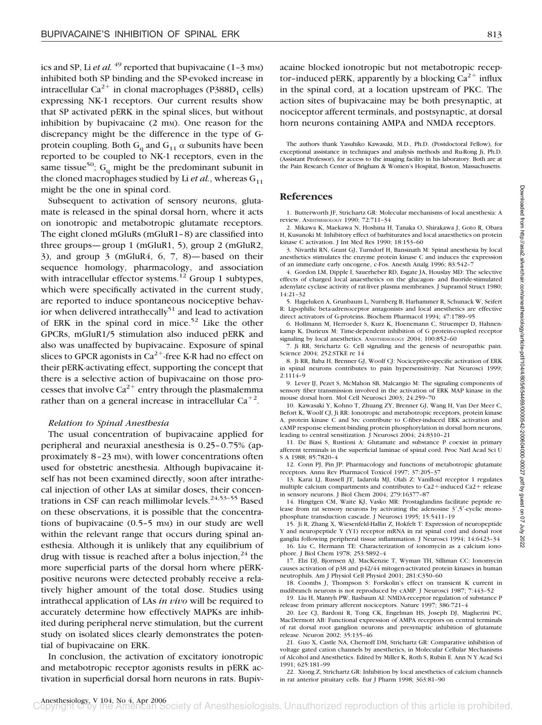ics and SP, Li *et al.* <sup>49</sup> reported that bupivacaine  $(1-3 \text{ mm})$ inhibited both SP binding and the SP-evoked increase in intracellular  $Ca^{2+}$  in clonal macrophages (P388D<sub>1</sub> cells) expressing NK-1 receptors. Our current results show that SP activated pERK in the spinal slices, but without inhibition by bupivacaine  $(2 \text{ mm})$ . One reason for the discrepancy might be the difference in the type of Gprotein coupling. Both  $G_q$  and  $G_{11}$   $\alpha$  subunits have been reported to be coupled to NK-1 receptors, even in the same tissue<sup>50</sup>;  $G_q$  might be the predominant subunit in the cloned macrophages studied by Li *et al.*, whereas  $G_{11}$ might be the one in spinal cord.

Subsequent to activation of sensory neurons, glutamate is released in the spinal dorsal horn, where it acts on ionotropic and metabotropic glutamate receptors. The eight cloned mGluRs (mGluR1–8) are classified into three groups—group 1 (mGluR1, 5), group 2 (mGluR2, 3), and group 3 (mGluR4, 6, 7, 8)—based on their sequence homology, pharmacology, and association with intracellular effector systems.<sup>12</sup> Group 1 subtypes, which were specifically activated in the current study, are reported to induce spontaneous nociceptive behavior when delivered intrathecally<sup>51</sup> and lead to activation of ERK in the spinal cord in mice.<sup>52</sup> Like the other GPCRs, mGluR1/5 stimulation also induced pERK and also was unaffected by bupivacaine. Exposure of spinal slices to GPCR agonists in  $Ca^{2+}$ -free K-R had no effect on their pERK-activating effect, supporting the concept that there is a selective action of bupivacaine on those processes that involve  $Ca^{2+}$  entry through the plasmalemma rather than on a general increase in intracellular  $Ca^{+2}$ .

#### *Relation to Spinal Anesthesia*

The usual concentration of bupivacaine applied for peripheral and neuraxial anesthesia is 0.25–0.75% (approximately 8–23 mm), with lower concentrations often used for obstetric anesthesia. Although bupivacaine itself has not been examined directly, soon after intrathecal injection of other LAs at similar doses, their concentrations in CSF can reach millimolar levels. $24,53-55$  Based on these observations, it is possible that the concentrations of bupivacaine  $(0.5-5 \text{ mm})$  in our study are well within the relevant range that occurs during spinal anesthesia. Although it is unlikely that any equilibrium of drug with tissue is reached after a bolus injection,  $24$  the more superficial parts of the dorsal horn where pERKpositive neurons were detected probably receive a relatively higher amount of the total dose. Studies using intrathecal application of LAs *in vivo* will be required to accurately determine how effectively MAPKs are inhibited during peripheral nerve stimulation, but the current study on isolated slices clearly demonstrates the potential of bupivacaine on ERK.

In conclusion, the activation of excitatory ionotropic and metabotropic receptor agonists results in pERK activation in superficial dorsal horn neurons in rats. Bupivacaine blocked ionotropic but not metabotropic receptor-induced pERK, apparently by a blocking  $Ca^{2+}$  influx in the spinal cord, at a location upstream of PKC. The action sites of bupivacaine may be both presynaptic, at nociceptor afferent terminals, and postsynaptic, at dorsal horn neurons containing AMPA and NMDA receptors.

The authors thank Yasuhiko Kawasaki, M.D., Ph.D. (Postdoctoral Fellow), for exceptional assistance in techniques and analysis methods and Ru-Rong Ji, Ph.D. (Assistant Professor), for access to the imaging facility in his laboratory. Both are at the Pain Research Center of Brigham & Women's Hospital, Boston, Massachusetts.

#### **References**

1. Butterworth JF, Strichartz GR: Molecular mechanisms of local anesthesia: A review. ANESTHESIOLOGY 1990; 72:711–34

2. Mikawa K, Maekawa N, Hoshina H, Tanaka O, Shirakawa J, Goto R, Obara H, Kusunoki M: Inhibitory effect of barbiturates and local anaesthetics on protein kinase C activation. J Int Med Res 1990; 18:153–60

3. Nivarthi RN, Grant GJ, Turndorf H, Bansinath M: Spinal anesthesia by local anesthetics stimulates the enzyme protein kinase C and induces the expression of an immediate early oncogene, c-Fos. Anesth Analg 1996; 83:542–7

4. Gordon LM, Dipple I, Sauerheber RD, Esgate JA, Houslay MD: The selective effects of charged local anaesthetics on the glucagon- and fluoride-stimulated adenylate cyclase activity of rat-liver plasma membranes. J Supramol Struct 1980; 14:21–32

5. Hageluken A, Grunbaum L, Nurnberg B, Harhammer R, Schunack W, Seifert R: Lipophilic beta-adrenoceptor antagonists and local anesthetics are effective direct activators of G-proteins. Biochem Pharmacol 1994; 47:1789–95

6. Hollmann M, Herroeder S, Kurz K, Hoenemann C, Struemper D, Hahnenkamp K, Durieux M: Time-dependent inhibition of G protein-coupled receptor signaling by local anesthetics. ANESTHESIOLOGY 2004: 100:852-60

7. Ji RR, Strichartz G: Cell signaling and the genesis of neuropathic pain. Science 2004; 252:STKE re 14

8. Ji RR, Baba H, Brenner GJ, Woolf CJ: Nociceptive-specific activation of ERK in spinal neurons contributes to pain hypersensitivity. Nat Neurosci 1999; 2:1114–9

9. Lever IJ, Pezet S, McMahon SB, Malcangio M: The signaling components of sensory fiber transmission involved in the activation of ERK MAP kinase in the mouse dorsal horn. Mol Cell Neurosci 2003; 24:259–70

10. Kawasaki Y, Kohno T, Zhuang ZY, Brenner GJ, Wang H, Van Der Meer C, Befort K, Woolf CJ, Ji RR: Ionotropic and metabotropic receptors, protein kinase A, protein kinase C and Src contribute to C-fiber-induced ERK activation and cAMP response element-binding protein phosphorylation in dorsal horn neurons, leading to central sensitization. J Neurosci 2004; 24:8310–21

11. De Biasi S, Rustioni A: Glutamate and substance P coexist in primary afferent terminals in the superficial laminae of spinal cord. Proc Natl Acad Sci U S A 1988; 85:7820–4

12. Conn PJ, Pin JP: Pharmacology and functions of metabotropic glutamate receptors. Annu Rev Pharmacol Toxicol 1997; 37:205–37

13. Karai LJ, Russell JT, Iadarola MJ, Olah Z: Vanilloid receptor 1 regulates multiple calcium compartments and contributes to  $Ca2+$ -induced  $Ca2+$  release in sensory neurons. J Biol Chem 2004; 279:16377–87

14. Hingtgen CM, Waite KJ, Vasko MR: Prostaglandins facilitate peptide release from rat sensory neurons by activating the adenosine  $3', 5'$ -cyclic monophosphate transduction cascade. J Neurosci 1995; 15:5411–19

15. Ji R, Zhang X, Wiesenfeld-Hallin Z, Hokfelt T: Expression of neuropeptide Y and neuropeptide Y (Y1) receptor mRNA in rat spinal cord and dorsal root ganglia following peripheral tissue inflammation. J Neurosci 1994; 14:6423–34

16. Liu C, Hermann TE: Characterization of ionomycin as a calcium ionophore. J Biol Chem 1978; 253:5892–4

17. Elzi DJ, Bjornsen AJ, MacKenzie T, Wyman TH, Silliman CC: Ionomycin causes activation of p38 and p42/44 mitogen-activated protein kinases in human neutrophils. Am J Physiol Cell Physiol 2001; 281:C350–60

18. Coombs J, Thompson S: Forskolin's effect on transient K current in nudibranch neurons is not reproduced by cAMP. J Neurosci 1987; 7:443–52

19. Liu H, Mantyh PW, Basbaum AI: NMDA-receptor regulation of substance P release from primary afferent nociceptors. Nature 1997; 386:721–4

20. Lee CJ, Bardoni R, Tong CK, Engelman HS, Joseph DJ, Magherini PC, MacDermott AB: Functional expression of AMPA receptors on central terminals of rat dorsal root ganglion neurons and presynaptic inhibition of glutamate release. Neuron 2002; 35:135–46

21. Guo X, Castle NA, Chernoff DM, Strichartz GR: Comparative inhibition of voltage gated cation channels by anesthetics, in Molecular Cellular Mechanisms of Alcohol and Anesthetics. Edited by Miller K, Roth S, Rubin E. Ann N Y Acad Sci 1991; 625:181–99

22. Xiong Z, Strichartz GR: Inhibition by local anesthetics of calcium channels in rat anterior pituitary cells. Eur J Pharm 1998; 363:81–90